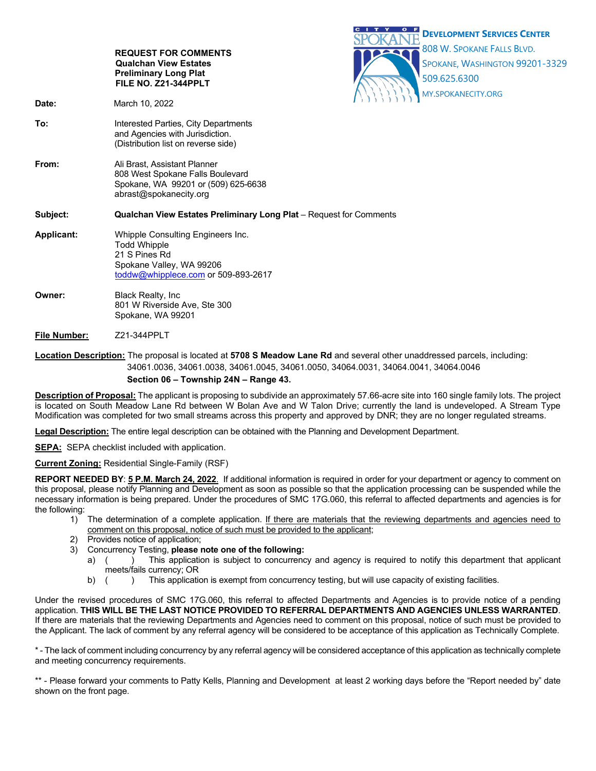|                                                                                                                          | <b>REQUEST FOR COMMENTS</b><br><b>Qualchan View Estates</b>                                                                                  | c | <b>DEVELOPMENT SERVICES CENTER</b><br>808 W. SPOKANE FALLS BLVD.<br>SPOKANE, WASHINGTON 99201-3329 |
|--------------------------------------------------------------------------------------------------------------------------|----------------------------------------------------------------------------------------------------------------------------------------------|---|----------------------------------------------------------------------------------------------------|
|                                                                                                                          | <b>Preliminary Long Plat</b><br>FILE NO. Z21-344PPLT                                                                                         |   | 509.625.6300<br>MY.SPOKANECITY.ORG                                                                 |
| Date:                                                                                                                    | March 10, 2022                                                                                                                               |   |                                                                                                    |
| To:                                                                                                                      | Interested Parties, City Departments<br>and Agencies with Jurisdiction.<br>(Distribution list on reverse side)                               |   |                                                                                                    |
| From:                                                                                                                    | Ali Brast, Assistant Planner<br>808 West Spokane Falls Boulevard<br>Spokane, WA 99201 or (509) 625-6638<br>abrast@spokanecity.org            |   |                                                                                                    |
| Subject:                                                                                                                 | Qualchan View Estates Preliminary Long Plat - Request for Comments                                                                           |   |                                                                                                    |
| Applicant:                                                                                                               | Whipple Consulting Engineers Inc.<br><b>Todd Whipple</b><br>21 S Pines Rd<br>Spokane Valley, WA 99206<br>toddw@whipplece.com or 509-893-2617 |   |                                                                                                    |
| Owner:                                                                                                                   | <b>Black Realty, Inc.</b><br>801 W Riverside Ave, Ste 300<br>Spokane, WA 99201                                                               |   |                                                                                                    |
| <b>File Number:</b>                                                                                                      | Z21-344PPLT                                                                                                                                  |   |                                                                                                    |
| Location Description: The proposal is located at 5708 S Meadow Lane Rd and several other unaddressed parcels, including: |                                                                                                                                              |   |                                                                                                    |

 34061.0036, 34061.0038, 34061.0045, 34061.0050, 34064.0031, 34064.0041, 34064.0046  **Section 06 – Township 24N – Range 43.**

**Description of Proposal:** The applicant is proposing to subdivide an approximately 57.66-acre site into 160 single family lots. The project is located on South Meadow Lane Rd between W Bolan Ave and W Talon Drive; currently the land is undeveloped. A Stream Type Modification was completed for two small streams across this property and approved by DNR; they are no longer regulated streams.

**Legal Description:** The entire legal description can be obtained with the Planning and Development Department.

**SEPA:** SEPA checklist included with application.

**Current Zoning:** Residential Single-Family (RSF)

**REPORT NEEDED BY**: **5 P.M. March 24, 2022**. If additional information is required in order for your department or agency to comment on this proposal, please notify Planning and Development as soon as possible so that the application processing can be suspended while the necessary information is being prepared. Under the procedures of SMC 17G.060, this referral to affected departments and agencies is for the following:

- 1) The determination of a complete application. If there are materials that the reviewing departments and agencies need to comment on this proposal, notice of such must be provided to the applicant;
- Provides notice of application;
- 3) Concurrency Testing, **please note one of the following:**
	- a) () This application is subject to concurrency and agency is required to notify this department that applicant meets/fails currency; OR
	- b) () This application is exempt from concurrency testing, but will use capacity of existing facilities.

Under the revised procedures of SMC 17G.060, this referral to affected Departments and Agencies is to provide notice of a pending application. **THIS WILL BE THE LAST NOTICE PROVIDED TO REFERRAL DEPARTMENTS AND AGENCIES UNLESS WARRANTED**. If there are materials that the reviewing Departments and Agencies need to comment on this proposal, notice of such must be provided to the Applicant. The lack of comment by any referral agency will be considered to be acceptance of this application as Technically Complete.

\* - The lack of comment including concurrency by any referral agency will be considered acceptance of this application as technically complete and meeting concurrency requirements.

\*\* - Please forward your comments to Patty Kells, Planning and Development at least 2 working days before the "Report needed by" date shown on the front page.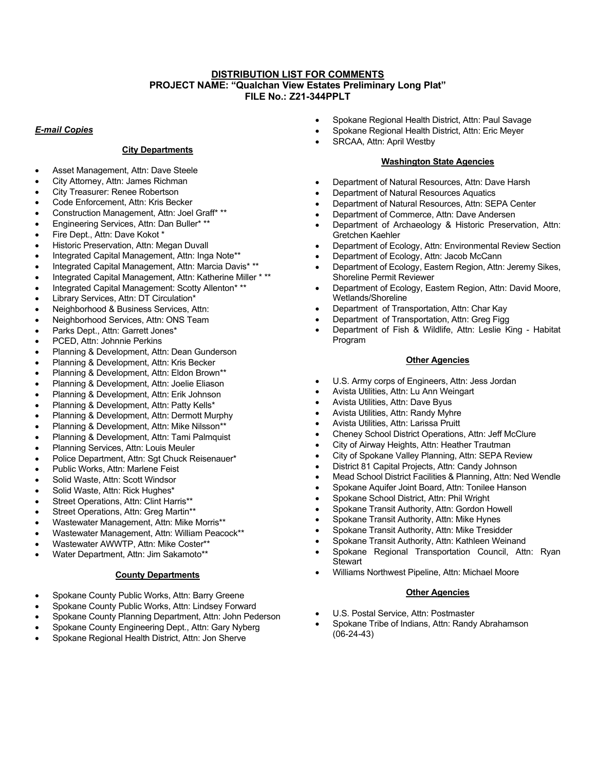## **DISTRIBUTION LIST FOR COMMENTS PROJECT NAME: "Qualchan View Estates Preliminary Long Plat" FILE No.: Z21-344PPLT**

### *E-mail Copies*

# **City Departments**

- Asset Management, Attn: Dave Steele
- City Attorney, Attn: James Richman
- City Treasurer: Renee Robertson
- Code Enforcement, Attn: Kris Becker
- Construction Management, Attn: Joel Graff\* \*\*
- Engineering Services, Attn: Dan Buller\* \*\*
- Fire Dept., Attn: Dave Kokot \*
- Historic Preservation, Attn: Megan Duvall
- Integrated Capital Management, Attn: Inga Note\*\*
- Integrated Capital Management, Attn: Marcia Davis\* \*\*
- Integrated Capital Management, Attn: Katherine Miller \* \*\*
- Integrated Capital Management: Scotty Allenton\* \*\*
- Library Services, Attn: DT Circulation\*
- Neighborhood & Business Services, Attn:
- Neighborhood Services, Attn: ONS Team
- Parks Dept., Attn: Garrett Jones\*
- PCED, Attn: Johnnie Perkins
- Planning & Development, Attn: Dean Gunderson
- Planning & Development, Attn: Kris Becker
- Planning & Development, Attn: Eldon Brown\*\*
- Planning & Development, Attn: Joelie Eliason
- Planning & Development, Attn: Erik Johnson
- Planning & Development, Attn: Patty Kells\*
- Planning & Development, Attn: Dermott Murphy
- Planning & Development, Attn: Mike Nilsson\*\*
- Planning & Development, Attn: Tami Palmquist
- Planning Services, Attn: Louis Meuler
- Police Department, Attn: Sgt Chuck Reisenauer\*
- Public Works, Attn: Marlene Feist
- Solid Waste, Attn: Scott Windsor
- Solid Waste, Attn: Rick Hughes\*
- Street Operations, Attn: Clint Harris\*\*
- Street Operations, Attn: Greg Martin\*\*
- Wastewater Management, Attn: Mike Morris\*\*
- Wastewater Management, Attn: William Peacock\*\*
- Wastewater AWWTP, Attn: Mike Coster\*\*
- Water Department, Attn: Jim Sakamoto\*\*

## **County Departments**

- Spokane County Public Works, Attn: Barry Greene
- Spokane County Public Works, Attn: Lindsey Forward
- Spokane County Planning Department, Attn: John Pederson
- Spokane County Engineering Dept., Attn: Gary Nyberg
- Spokane Regional Health District, Attn: Jon Sherve
- Spokane Regional Health District, Attn: Paul Savage
- Spokane Regional Health District, Attn: Eric Meyer
- SRCAA, Attn: April Westby

## **Washington State Agencies**

- Department of Natural Resources, Attn: Dave Harsh
- Department of Natural Resources Aquatics
- Department of Natural Resources, Attn: SEPA Center
- Department of Commerce, Attn: Dave Andersen
- Department of Archaeology & Historic Preservation, Attn: Gretchen Kaehler
- Department of Ecology, Attn: Environmental Review Section
- Department of Ecology, Attn: Jacob McCann
- Department of Ecology, Eastern Region, Attn: Jeremy Sikes, Shoreline Permit Reviewer
- Department of Ecology, Eastern Region, Attn: David Moore, Wetlands/Shoreline
- Department of Transportation, Attn: Char Kay
- Department of Transportation, Attn: Greg Figg
- Department of Fish & Wildlife, Attn: Leslie King Habitat Program

#### **Other Agencies**

- U.S. Army corps of Engineers, Attn: Jess Jordan
- Avista Utilities, Attn: Lu Ann Weingart
- Avista Utilities, Attn: Dave Byus
- Avista Utilities, Attn: Randy Myhre
- Avista Utilities, Attn: Larissa Pruitt
- Cheney School District Operations, Attn: Jeff McClure
- City of Airway Heights, Attn: Heather Trautman
- City of Spokane Valley Planning, Attn: SEPA Review
- District 81 Capital Projects, Attn: Candy Johnson
- Mead School District Facilities & Planning, Attn: Ned Wendle
- Spokane Aquifer Joint Board, Attn: Tonilee Hanson
- Spokane School District, Attn: Phil Wright
- Spokane Transit Authority, Attn: Gordon Howell
- Spokane Transit Authority, Attn: Mike Hynes
- Spokane Transit Authority, Attn: Mike Tresidder
- Spokane Transit Authority, Attn: Kathleen Weinand
- Spokane Regional Transportation Council, Attn: Ryan **Stewart**
- Williams Northwest Pipeline, Attn: Michael Moore

## **Other Agencies**

- U.S. Postal Service, Attn: Postmaster
- Spokane Tribe of Indians, Attn: Randy Abrahamson (06-24-43)